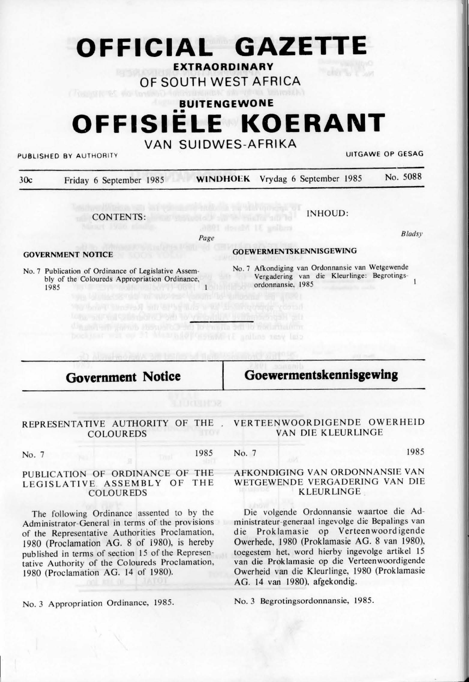# **OFFICIAL GAZETTE**

**EXTRAORDINARY** 

**OF SOUTH WEST AFRICA** 

## **BUITENGEWONE**  •• **OFFISIELE KOERANT**

## **VAN SUIDWES-AFRIKA**

PUBLISHED BY AUTHORITY **UITGAWE OP GESAG** 

**Bladsy** 

| 30c | Friday 6 September 1985 | <b>WINDHOEK</b> Vrydag 6 September 1985 | No. 5088 |
|-----|-------------------------|-----------------------------------------|----------|
|     |                         |                                         |          |

CONTENTS:

INHOUD:

Page

dia anten unter Henriko de Tornalia antib Sabrinien

#### **GOVERNMENT NOTICE**

No. 7 Publication of Ordinance of Legislative Assembly of the Coloureds Appropriation Ordinance.  $1$ 1985

#### **GOEWERMENTSKENNISGEWING**

No. 7 Afkondiging van Ordonnansie van Wetgewende Vergadering van die Kleurlinge: Begrotingsordonnansie, 1985

### **Government Notice**

## **Goewermentskennisgewing**

#### REPRESENTATIVE AUTHORITY OF THE . COLOUREDS

#### VERTEENWOORDIGENDE OWER HEID VAN DIE KLEURLINGE

| No. 7 | 1985 No. | 1985                            |
|-------|----------|---------------------------------|
|       |          | LEVOURIGING VAN ORDONNIANGE VAN |

#### PUBLICATION OF ORDINANCE OF THE LEGISLATIVE ASSEMBLY OF THE COLOUREDS

The following Ordinance assented to by the Administrator-General in terms of the provisions of the Representative Authorities Proclamation, 1980 (Proclamation AG. 8 of 1980), is hereby published in terms of section 15 of the Representative Authority of the Coloureds Proclamation, 1980 (Proclamation AG. 14 of 1980).

#### AFKONDIG ING VAN ORDONNANSIE VAN WETGEWENDE VERGADERING VAN DIE **KLEURLINGE**

Die volgende Ordonnansie waartoe die Administrateur-generaal ingevolge die Bepalings van die Proklamasie op Verteenwoordigende Owerhede, 1980 (Prok lamasie AG. 8 van 1980), toegestem het, word hierby ingevolge artikel 15 van die Proklamasie op die Verteenwoordigende Owerheid van die Kleurlinge, 1980 (Proklamasie AG. 14 van 1980), afgekondig.

No. 3 Begrotingsordonnansie, 1985.

No. 3 Appropriation Ordinance, 1985.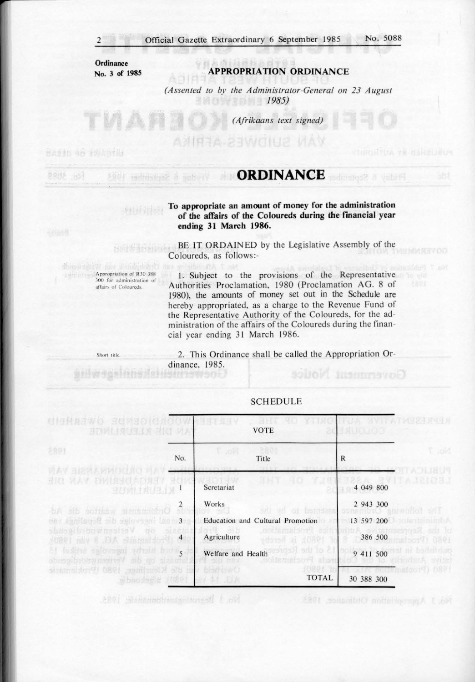ANITA 23WOIU2 MAV

**Ordinance No. 3 of 1985** 

#### **APPROPRJA TION ORDINANCE**

*(Assented to by the Administrator-General on 23 August 1985)* 

*(Afrikaans text signed)* 

Sasan as Falleriu

9982 383

### *CRDINANCE BUILDINANCE BUILDINANCE*

**To appropriate an amount of money for the administration**  of the affairs of the Coloureds during the financial year **ending 31 March 1986.** 

BE IT ORDAINED by the Legislative Assembly of the Coloureds, as follows:-

**Appropriation of R30 388** 300 for administration of affairs of Coloureds.

**FELIX LIST** 

Short title.

**BELWYONIN** 

1. Subject to the provisions of the Representative Authorities Proclamation, 1980 (Proclamation AG. 8 of 1980), the amounts of money set out in the Schedule are hereby appropriated, as a charge to the Revenue Fund of the Representative Authority of the Coloureds, for the administration of the affairs of the Coloureds during the financial year ending 31 March 1986.

2. This Ordinance shall be called the Appropriation Ordinance, 1985. Government Nouce

| dighaswo gersores<br><b>BOWLINUSLY BIO VA</b>                      |     | <b>VOTE</b>                                        | ERN JOUGS                                |                 |
|--------------------------------------------------------------------|-----|----------------------------------------------------|------------------------------------------|-----------------|
| 2841                                                               | No. | $T - 100$<br>Title                                 | R                                        | 6.001           |
| 计大学 医比利人的时间过度<br><b>BROADERHOUS VAN BRE</b><br>阳的如 封印              |     | YJ R<br>Scretariat                                 | 4 049 800                                |                 |
| Ordential wants die<br>出版                                          | 2   | Works<br>oni ud oi boindaa                         | 2 943 300                                |                 |
| compani inscruise die Benifikation van                             |     | Education and Cultural Promotion                   | 13 597 200                               |                 |
| Verteen wood football<br>787<br><b>JIROL AND E JUA ADRINE TATO</b> |     | SOUTH ALSO SOLL<br>Agriculture<br>1980), is hereby | 386 500                                  |                 |
| at lastent aslovaged whale brows<br>stumpki shinw mentavi<br>mb do |     | mars) sotio c<br>Welfare and Health                | 9 411 500                                | imoduriA svidel |
| Kleuring [980 (Printment<br>stanožej s fizet                       | 552 | <b>TOTAL</b><br>$A = 1.5A$                         | <b>NotTrington9) (1801</b><br>30 388 300 |                 |

#### **SCHEDULE**

No. 3 Beard issued building 1985

No. 3 Appropriation Ordinaties, 1983.